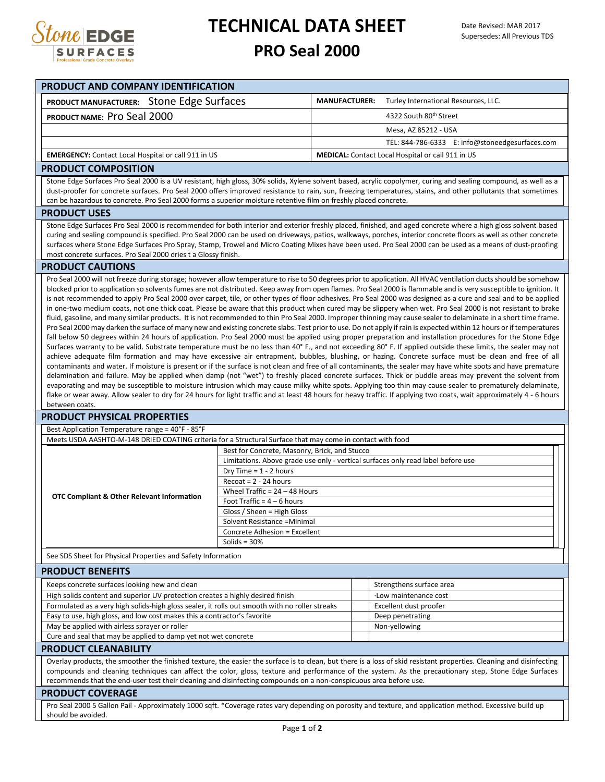

# **TECHNICAL DATA SHEET**

### **PRO Seal 2000**

| <b>PRODUCT AND COMPANY IDENTIFICATION</b>                                                                                                                                                                                                                                                                                                                                                                                                                                                                                                                                                                                                                                                                                                                                                                                                                                                                                                                                                                                                                                                                                                                                                                                                                                                                                                                                                                                                                                                                                                                                                                                                                                                                                                                                                                                                                                                                                                                                                                                                                                                                                                                                                                                                                                                                                                                                                                                                                                                                                                                                                                                                                                                                                                           |                                                                                                                                              |                      |                                                                                                                                                                                                                                                                                                                                                                                                                                                                                              |  |
|-----------------------------------------------------------------------------------------------------------------------------------------------------------------------------------------------------------------------------------------------------------------------------------------------------------------------------------------------------------------------------------------------------------------------------------------------------------------------------------------------------------------------------------------------------------------------------------------------------------------------------------------------------------------------------------------------------------------------------------------------------------------------------------------------------------------------------------------------------------------------------------------------------------------------------------------------------------------------------------------------------------------------------------------------------------------------------------------------------------------------------------------------------------------------------------------------------------------------------------------------------------------------------------------------------------------------------------------------------------------------------------------------------------------------------------------------------------------------------------------------------------------------------------------------------------------------------------------------------------------------------------------------------------------------------------------------------------------------------------------------------------------------------------------------------------------------------------------------------------------------------------------------------------------------------------------------------------------------------------------------------------------------------------------------------------------------------------------------------------------------------------------------------------------------------------------------------------------------------------------------------------------------------------------------------------------------------------------------------------------------------------------------------------------------------------------------------------------------------------------------------------------------------------------------------------------------------------------------------------------------------------------------------------------------------------------------------------------------------------------------------|----------------------------------------------------------------------------------------------------------------------------------------------|----------------------|----------------------------------------------------------------------------------------------------------------------------------------------------------------------------------------------------------------------------------------------------------------------------------------------------------------------------------------------------------------------------------------------------------------------------------------------------------------------------------------------|--|
| PRODUCT MANUFACTURER: Stone Edge Surfaces                                                                                                                                                                                                                                                                                                                                                                                                                                                                                                                                                                                                                                                                                                                                                                                                                                                                                                                                                                                                                                                                                                                                                                                                                                                                                                                                                                                                                                                                                                                                                                                                                                                                                                                                                                                                                                                                                                                                                                                                                                                                                                                                                                                                                                                                                                                                                                                                                                                                                                                                                                                                                                                                                                           |                                                                                                                                              | <b>MANUFACTURER:</b> | Turley International Resources, LLC.                                                                                                                                                                                                                                                                                                                                                                                                                                                         |  |
| PRODUCT NAME: Pro Seal 2000                                                                                                                                                                                                                                                                                                                                                                                                                                                                                                                                                                                                                                                                                                                                                                                                                                                                                                                                                                                                                                                                                                                                                                                                                                                                                                                                                                                                                                                                                                                                                                                                                                                                                                                                                                                                                                                                                                                                                                                                                                                                                                                                                                                                                                                                                                                                                                                                                                                                                                                                                                                                                                                                                                                         |                                                                                                                                              |                      | 4322 South 80th Street                                                                                                                                                                                                                                                                                                                                                                                                                                                                       |  |
|                                                                                                                                                                                                                                                                                                                                                                                                                                                                                                                                                                                                                                                                                                                                                                                                                                                                                                                                                                                                                                                                                                                                                                                                                                                                                                                                                                                                                                                                                                                                                                                                                                                                                                                                                                                                                                                                                                                                                                                                                                                                                                                                                                                                                                                                                                                                                                                                                                                                                                                                                                                                                                                                                                                                                     |                                                                                                                                              |                      | Mesa, AZ 85212 - USA                                                                                                                                                                                                                                                                                                                                                                                                                                                                         |  |
|                                                                                                                                                                                                                                                                                                                                                                                                                                                                                                                                                                                                                                                                                                                                                                                                                                                                                                                                                                                                                                                                                                                                                                                                                                                                                                                                                                                                                                                                                                                                                                                                                                                                                                                                                                                                                                                                                                                                                                                                                                                                                                                                                                                                                                                                                                                                                                                                                                                                                                                                                                                                                                                                                                                                                     |                                                                                                                                              |                      | TEL: 844-786-6333 E: info@stoneedgesurfaces.com                                                                                                                                                                                                                                                                                                                                                                                                                                              |  |
| <b>EMERGENCY:</b> Contact Local Hospital or call 911 in US                                                                                                                                                                                                                                                                                                                                                                                                                                                                                                                                                                                                                                                                                                                                                                                                                                                                                                                                                                                                                                                                                                                                                                                                                                                                                                                                                                                                                                                                                                                                                                                                                                                                                                                                                                                                                                                                                                                                                                                                                                                                                                                                                                                                                                                                                                                                                                                                                                                                                                                                                                                                                                                                                          |                                                                                                                                              |                      | <b>MEDICAL:</b> Contact Local Hospital or call 911 in US                                                                                                                                                                                                                                                                                                                                                                                                                                     |  |
|                                                                                                                                                                                                                                                                                                                                                                                                                                                                                                                                                                                                                                                                                                                                                                                                                                                                                                                                                                                                                                                                                                                                                                                                                                                                                                                                                                                                                                                                                                                                                                                                                                                                                                                                                                                                                                                                                                                                                                                                                                                                                                                                                                                                                                                                                                                                                                                                                                                                                                                                                                                                                                                                                                                                                     |                                                                                                                                              |                      |                                                                                                                                                                                                                                                                                                                                                                                                                                                                                              |  |
| <b>PRODUCT COMPOSITION</b>                                                                                                                                                                                                                                                                                                                                                                                                                                                                                                                                                                                                                                                                                                                                                                                                                                                                                                                                                                                                                                                                                                                                                                                                                                                                                                                                                                                                                                                                                                                                                                                                                                                                                                                                                                                                                                                                                                                                                                                                                                                                                                                                                                                                                                                                                                                                                                                                                                                                                                                                                                                                                                                                                                                          |                                                                                                                                              |                      |                                                                                                                                                                                                                                                                                                                                                                                                                                                                                              |  |
| can be hazardous to concrete. Pro Seal 2000 forms a superior moisture retentive film on freshly placed concrete.                                                                                                                                                                                                                                                                                                                                                                                                                                                                                                                                                                                                                                                                                                                                                                                                                                                                                                                                                                                                                                                                                                                                                                                                                                                                                                                                                                                                                                                                                                                                                                                                                                                                                                                                                                                                                                                                                                                                                                                                                                                                                                                                                                                                                                                                                                                                                                                                                                                                                                                                                                                                                                    |                                                                                                                                              |                      | Stone Edge Surfaces Pro Seal 2000 is a UV resistant, high gloss, 30% solids, Xylene solvent based, acrylic copolymer, curing and sealing compound, as well as a<br>dust-proofer for concrete surfaces. Pro Seal 2000 offers improved resistance to rain, sun, freezing temperatures, stains, and other pollutants that sometimes                                                                                                                                                             |  |
| <b>PRODUCT USES</b>                                                                                                                                                                                                                                                                                                                                                                                                                                                                                                                                                                                                                                                                                                                                                                                                                                                                                                                                                                                                                                                                                                                                                                                                                                                                                                                                                                                                                                                                                                                                                                                                                                                                                                                                                                                                                                                                                                                                                                                                                                                                                                                                                                                                                                                                                                                                                                                                                                                                                                                                                                                                                                                                                                                                 |                                                                                                                                              |                      |                                                                                                                                                                                                                                                                                                                                                                                                                                                                                              |  |
| most concrete surfaces. Pro Seal 2000 dries t a Glossy finish.                                                                                                                                                                                                                                                                                                                                                                                                                                                                                                                                                                                                                                                                                                                                                                                                                                                                                                                                                                                                                                                                                                                                                                                                                                                                                                                                                                                                                                                                                                                                                                                                                                                                                                                                                                                                                                                                                                                                                                                                                                                                                                                                                                                                                                                                                                                                                                                                                                                                                                                                                                                                                                                                                      |                                                                                                                                              |                      | Stone Edge Surfaces Pro Seal 2000 is recommended for both interior and exterior freshly placed, finished, and aged concrete where a high gloss solvent based<br>curing and sealing compound is specified. Pro Seal 2000 can be used on driveways, patios, walkways, porches, interior concrete floors as well as other concrete<br>surfaces where Stone Edge Surfaces Pro Spray, Stamp, Trowel and Micro Coating Mixes have been used. Pro Seal 2000 can be used as a means of dust-proofing |  |
| <b>PRODUCT CAUTIONS</b>                                                                                                                                                                                                                                                                                                                                                                                                                                                                                                                                                                                                                                                                                                                                                                                                                                                                                                                                                                                                                                                                                                                                                                                                                                                                                                                                                                                                                                                                                                                                                                                                                                                                                                                                                                                                                                                                                                                                                                                                                                                                                                                                                                                                                                                                                                                                                                                                                                                                                                                                                                                                                                                                                                                             |                                                                                                                                              |                      |                                                                                                                                                                                                                                                                                                                                                                                                                                                                                              |  |
| Pro Seal 2000 will not freeze during storage; however allow temperature to rise to 50 degrees prior to application. All HVAC ventilation ducts should be somehow<br>blocked prior to application so solvents fumes are not distributed. Keep away from open flames. Pro Seal 2000 is flammable and is very susceptible to ignition. It<br>is not recommended to apply Pro Seal 2000 over carpet, tile, or other types of floor adhesives. Pro Seal 2000 was designed as a cure and seal and to be applied<br>in one-two medium coats, not one thick coat. Please be aware that this product when cured may be slippery when wet. Pro Seal 2000 is not resistant to brake<br>fluid, gasoline, and many similar products. It is not recommended to thin Pro Seal 2000. Improper thinning may cause sealer to delaminate in a short time frame.<br>Pro Seal 2000 may darken the surface of many new and existing concrete slabs. Test prior to use. Do not apply if rain is expected within 12 hours or if temperatures<br>fall below 50 degrees within 24 hours of application. Pro Seal 2000 must be applied using proper preparation and installation procedures for the Stone Edge<br>Surfaces warranty to be valid. Substrate temperature must be no less than 40° F., and not exceeding 80° F. If applied outside these limits, the sealer may not<br>achieve adequate film formation and may have excessive air entrapment, bubbles, blushing, or hazing. Concrete surface must be clean and free of all<br>contaminants and water. If moisture is present or if the surface is not clean and free of all contaminants, the sealer may have white spots and have premature<br>delamination and failure. May be applied when damp (not "wet") to freshly placed concrete surfaces. Thick or puddle areas may prevent the solvent from<br>evaporating and may be susceptible to moisture intrusion which may cause milky white spots. Applying too thin may cause sealer to prematurely delaminate,<br>flake or wear away. Allow sealer to dry for 24 hours for light traffic and at least 48 hours for heavy traffic. If applying two coats, wait approximately 4 - 6 hours<br>between coats.<br><b>PRODUCT PHYSICAL PROPERTIES</b><br>Best Application Temperature range = 40°F - 85°F<br>Meets USDA AASHTO-M-148 DRIED COATING criteria for a Structural Surface that may come in contact with food<br>Best for Concrete, Masonry, Brick, and Stucco<br>Limitations. Above grade use only - vertical surfaces only read label before use<br>Dry Time = $1 - 2$ hours<br>$Recost = 2 - 24 hours$<br>Wheel Traffic = $24 - 48$ Hours<br>OTC Compliant & Other Relevant Information<br>Foot Traffic = $4 - 6$ hours<br>Gloss / Sheen = High Gloss |                                                                                                                                              |                      |                                                                                                                                                                                                                                                                                                                                                                                                                                                                                              |  |
|                                                                                                                                                                                                                                                                                                                                                                                                                                                                                                                                                                                                                                                                                                                                                                                                                                                                                                                                                                                                                                                                                                                                                                                                                                                                                                                                                                                                                                                                                                                                                                                                                                                                                                                                                                                                                                                                                                                                                                                                                                                                                                                                                                                                                                                                                                                                                                                                                                                                                                                                                                                                                                                                                                                                                     | Solvent Resistance = Minimal                                                                                                                 |                      |                                                                                                                                                                                                                                                                                                                                                                                                                                                                                              |  |
|                                                                                                                                                                                                                                                                                                                                                                                                                                                                                                                                                                                                                                                                                                                                                                                                                                                                                                                                                                                                                                                                                                                                                                                                                                                                                                                                                                                                                                                                                                                                                                                                                                                                                                                                                                                                                                                                                                                                                                                                                                                                                                                                                                                                                                                                                                                                                                                                                                                                                                                                                                                                                                                                                                                                                     | Concrete Adhesion = Excellent                                                                                                                |                      |                                                                                                                                                                                                                                                                                                                                                                                                                                                                                              |  |
|                                                                                                                                                                                                                                                                                                                                                                                                                                                                                                                                                                                                                                                                                                                                                                                                                                                                                                                                                                                                                                                                                                                                                                                                                                                                                                                                                                                                                                                                                                                                                                                                                                                                                                                                                                                                                                                                                                                                                                                                                                                                                                                                                                                                                                                                                                                                                                                                                                                                                                                                                                                                                                                                                                                                                     | Solids = $30%$                                                                                                                               |                      |                                                                                                                                                                                                                                                                                                                                                                                                                                                                                              |  |
| See SDS Sheet for Physical Properties and Safety Information                                                                                                                                                                                                                                                                                                                                                                                                                                                                                                                                                                                                                                                                                                                                                                                                                                                                                                                                                                                                                                                                                                                                                                                                                                                                                                                                                                                                                                                                                                                                                                                                                                                                                                                                                                                                                                                                                                                                                                                                                                                                                                                                                                                                                                                                                                                                                                                                                                                                                                                                                                                                                                                                                        |                                                                                                                                              |                      |                                                                                                                                                                                                                                                                                                                                                                                                                                                                                              |  |
| <b>PRODUCT BENEFITS</b>                                                                                                                                                                                                                                                                                                                                                                                                                                                                                                                                                                                                                                                                                                                                                                                                                                                                                                                                                                                                                                                                                                                                                                                                                                                                                                                                                                                                                                                                                                                                                                                                                                                                                                                                                                                                                                                                                                                                                                                                                                                                                                                                                                                                                                                                                                                                                                                                                                                                                                                                                                                                                                                                                                                             |                                                                                                                                              |                      |                                                                                                                                                                                                                                                                                                                                                                                                                                                                                              |  |
| Keeps concrete surfaces looking new and clean                                                                                                                                                                                                                                                                                                                                                                                                                                                                                                                                                                                                                                                                                                                                                                                                                                                                                                                                                                                                                                                                                                                                                                                                                                                                                                                                                                                                                                                                                                                                                                                                                                                                                                                                                                                                                                                                                                                                                                                                                                                                                                                                                                                                                                                                                                                                                                                                                                                                                                                                                                                                                                                                                                       |                                                                                                                                              |                      | Strengthens surface area                                                                                                                                                                                                                                                                                                                                                                                                                                                                     |  |
| High solids content and superior UV protection creates a highly desired finish                                                                                                                                                                                                                                                                                                                                                                                                                                                                                                                                                                                                                                                                                                                                                                                                                                                                                                                                                                                                                                                                                                                                                                                                                                                                                                                                                                                                                                                                                                                                                                                                                                                                                                                                                                                                                                                                                                                                                                                                                                                                                                                                                                                                                                                                                                                                                                                                                                                                                                                                                                                                                                                                      |                                                                                                                                              |                      | ·Low maintenance cost                                                                                                                                                                                                                                                                                                                                                                                                                                                                        |  |
| Formulated as a very high solids-high gloss sealer, it rolls out smooth with no roller streaks                                                                                                                                                                                                                                                                                                                                                                                                                                                                                                                                                                                                                                                                                                                                                                                                                                                                                                                                                                                                                                                                                                                                                                                                                                                                                                                                                                                                                                                                                                                                                                                                                                                                                                                                                                                                                                                                                                                                                                                                                                                                                                                                                                                                                                                                                                                                                                                                                                                                                                                                                                                                                                                      |                                                                                                                                              |                      | Excellent dust proofer                                                                                                                                                                                                                                                                                                                                                                                                                                                                       |  |
| Easy to use, high gloss, and low cost makes this a contractor's favorite                                                                                                                                                                                                                                                                                                                                                                                                                                                                                                                                                                                                                                                                                                                                                                                                                                                                                                                                                                                                                                                                                                                                                                                                                                                                                                                                                                                                                                                                                                                                                                                                                                                                                                                                                                                                                                                                                                                                                                                                                                                                                                                                                                                                                                                                                                                                                                                                                                                                                                                                                                                                                                                                            |                                                                                                                                              |                      | Deep penetrating                                                                                                                                                                                                                                                                                                                                                                                                                                                                             |  |
| May be applied with airless sprayer or roller                                                                                                                                                                                                                                                                                                                                                                                                                                                                                                                                                                                                                                                                                                                                                                                                                                                                                                                                                                                                                                                                                                                                                                                                                                                                                                                                                                                                                                                                                                                                                                                                                                                                                                                                                                                                                                                                                                                                                                                                                                                                                                                                                                                                                                                                                                                                                                                                                                                                                                                                                                                                                                                                                                       |                                                                                                                                              |                      | Non-yellowing                                                                                                                                                                                                                                                                                                                                                                                                                                                                                |  |
| Cure and seal that may be applied to damp yet not wet concrete                                                                                                                                                                                                                                                                                                                                                                                                                                                                                                                                                                                                                                                                                                                                                                                                                                                                                                                                                                                                                                                                                                                                                                                                                                                                                                                                                                                                                                                                                                                                                                                                                                                                                                                                                                                                                                                                                                                                                                                                                                                                                                                                                                                                                                                                                                                                                                                                                                                                                                                                                                                                                                                                                      |                                                                                                                                              |                      |                                                                                                                                                                                                                                                                                                                                                                                                                                                                                              |  |
| <b>PRODUCT CLEANABILITY</b>                                                                                                                                                                                                                                                                                                                                                                                                                                                                                                                                                                                                                                                                                                                                                                                                                                                                                                                                                                                                                                                                                                                                                                                                                                                                                                                                                                                                                                                                                                                                                                                                                                                                                                                                                                                                                                                                                                                                                                                                                                                                                                                                                                                                                                                                                                                                                                                                                                                                                                                                                                                                                                                                                                                         |                                                                                                                                              |                      |                                                                                                                                                                                                                                                                                                                                                                                                                                                                                              |  |
|                                                                                                                                                                                                                                                                                                                                                                                                                                                                                                                                                                                                                                                                                                                                                                                                                                                                                                                                                                                                                                                                                                                                                                                                                                                                                                                                                                                                                                                                                                                                                                                                                                                                                                                                                                                                                                                                                                                                                                                                                                                                                                                                                                                                                                                                                                                                                                                                                                                                                                                                                                                                                                                                                                                                                     |                                                                                                                                              |                      | Overlay products, the smoother the finished texture, the easier the surface is to clean, but there is a loss of skid resistant properties. Cleaning and disinfecting<br>compounds and cleaning techniques can affect the color, gloss, texture and performance of the system. As the precautionary step, Stone Edge Surfaces                                                                                                                                                                 |  |
|                                                                                                                                                                                                                                                                                                                                                                                                                                                                                                                                                                                                                                                                                                                                                                                                                                                                                                                                                                                                                                                                                                                                                                                                                                                                                                                                                                                                                                                                                                                                                                                                                                                                                                                                                                                                                                                                                                                                                                                                                                                                                                                                                                                                                                                                                                                                                                                                                                                                                                                                                                                                                                                                                                                                                     | recommends that the end-user test their cleaning and disinfecting compounds on a non-conspicuous area before use.<br><b>DRODUCT COVERAGE</b> |                      |                                                                                                                                                                                                                                                                                                                                                                                                                                                                                              |  |

### **PRODUCT COVERAGE**

Pro Seal 2000 5 Gallon Pail - Approximately 1000 sqft. \*Coverage rates vary depending on porosity and texture, and application method. Excessive build up should be avoided.